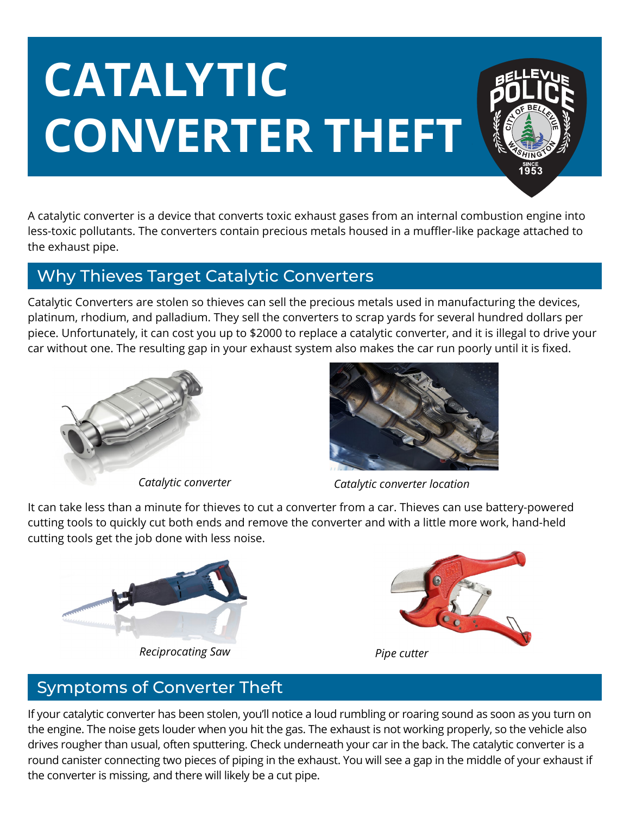# **CATALYTIC CONVERTER THEFT**



A catalytic converter is a device that converts toxic exhaust gases from an internal combustion engine into less-toxic pollutants. The converters contain precious metals housed in a muffler-like package attached to the exhaust pipe.

## Why Thieves Target Catalytic Converters

Catalytic Converters are stolen so thieves can sell the precious metals used in manufacturing the devices, platinum, rhodium, and palladium. They sell the converters to scrap yards for several hundred dollars per piece. Unfortunately, it can cost you up to \$2000 to replace a catalytic converter, and it is illegal to drive your car without one. The resulting gap in your exhaust system also makes the car run poorly until it is fixed.





*Catalytic converter Catalytic converter location*

It can take less than a minute for thieves to cut a converter from a car. Thieves can use battery-powered cutting tools to quickly cut both ends and remove the converter and with a little more work, hand-held cutting tools get the job done with less noise.



*Reciprocating Saw Pipe cutter*



## Symptoms of Converter Theft

If your catalytic converter has been stolen, you'll notice a loud rumbling or roaring sound as soon as you turn on the engine. The noise gets louder when you hit the gas. The exhaust is not working properly, so the vehicle also drives rougher than usual, often sputtering. Check underneath your car in the back. The catalytic converter is a round canister connecting two pieces of piping in the exhaust. You will see a gap in the middle of your exhaust if the converter is missing, and there will likely be a cut pipe.